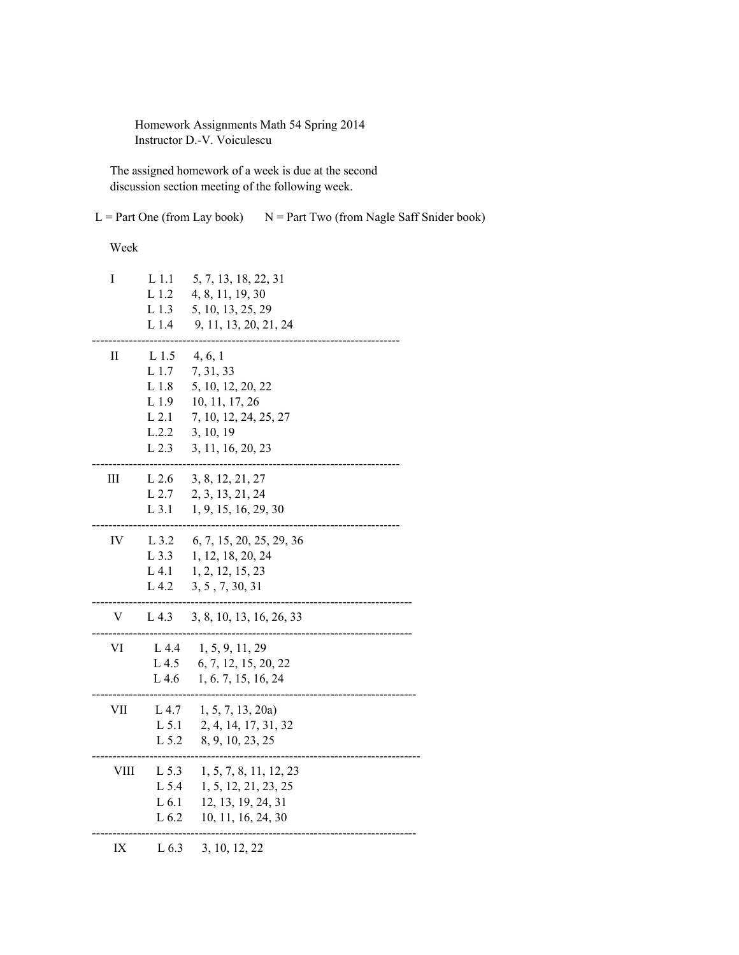Homework Assignments Math 54 Spring 2014 Instructor D.-V. Voiculescu

 The assigned homework of a week is due at the second discussion section meeting of the following week.

 $L = Part One (from Lay book)$   $N = Part Two (from Nagle Saff Snider book)$ 

## Week

| I                          | L <sub>1.1</sub><br>L <sub>1.2</sub><br>L <sub>1.3</sub><br>L 1.4                          | 5, 7, 13, 18, 22, 31<br>4, 8, 11, 19, 30<br>5, 10, 13, 25, 29<br>9, 11, 13, 20, 21, 24                                 |
|----------------------------|--------------------------------------------------------------------------------------------|------------------------------------------------------------------------------------------------------------------------|
| $\mathop{\rm II}\nolimits$ | L 1.5<br>L 1.7<br>$\;$ L $1.8$<br>L <sub>1.9</sub><br>$L$ 2.1<br>L.2.2<br>L <sub>2.3</sub> | 4, 6, 1<br>7, 31, 33<br>5, 10, 12, 20, 22<br>10, 11, 17, 26<br>7, 10, 12, 24, 25, 27<br>3, 10, 19<br>3, 11, 16, 20, 23 |
| Ш                          | $L$ 2.6<br>$L$ 2.7<br>$L$ 3.1                                                              | 3, 8, 12, 21, 27<br>2, 3, 13, 21, 24<br>1, 9, 15, 16, 29, 30                                                           |
| IV                         | L 3.2<br>$L$ 3.3<br>$L$ 4.1<br>L 4.2                                                       | 6, 7, 15, 20, 25, 29, 36<br>1, 12, 18, 20, 24<br>1, 2, 12, 15, 23<br>3, 5, 7, 30, 31                                   |
| V                          | L 4.3                                                                                      | 3, 8, 10, 13, 16, 26, 33                                                                                               |
| VI                         | L 4.4<br>L 4.5<br>L 4.6                                                                    | 1, 5, 9, 11, 29<br>6, 7, 12, 15, 20, 22<br>1, 6. 7, 15, 16, 24                                                         |
| VII                        | L 4.7<br>L 5.1<br>L 5.2                                                                    | 1, 5, 7, 13, 20a<br>2, 4, 14, 17, 31, 32<br>8, 9, 10, 23, 25                                                           |
| <b>VIII</b>                | L 5.3<br>L 5.4<br>L 6.1<br>L <sub>6.2</sub>                                                | 1, 5, 7, 8, 11, 12, 23<br>1, 5, 12, 21, 23, 25<br>12, 13, 19, 24, 31<br>10, 11, 16, 24, 30                             |
| IX                         | L <sub>6.3</sub>                                                                           | 3, 10, 12, 22                                                                                                          |